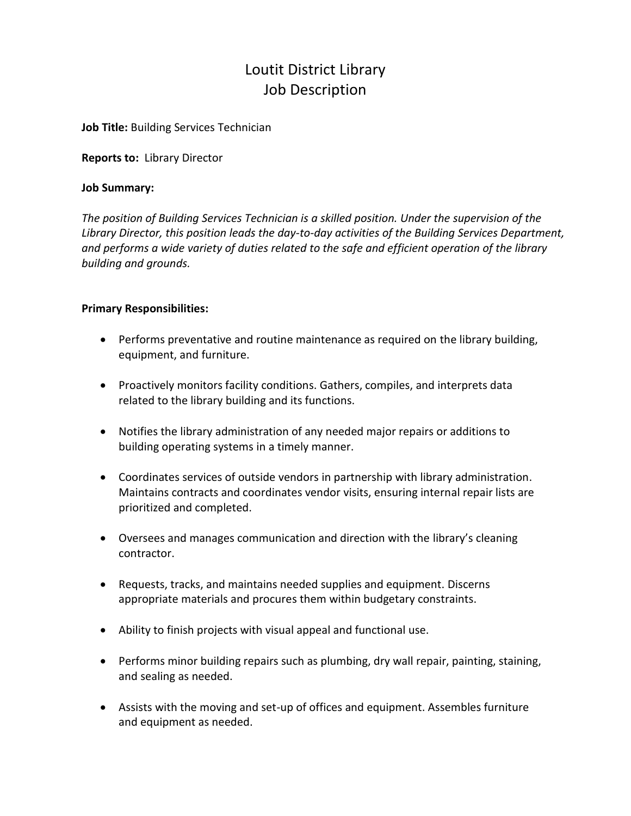# Loutit District Library Job Description

## **Job Title:** Building Services Technician

**Reports to:** Library Director

## **Job Summary:**

*The position of Building Services Technician is a skilled position. Under the supervision of the Library Director, this position leads the day-to-day activities of the Building Services Department, and performs a wide variety of duties related to the safe and efficient operation of the library building and grounds.*

# **Primary Responsibilities:**

- Performs preventative and routine maintenance as required on the library building, equipment, and furniture.
- Proactively monitors facility conditions. Gathers, compiles, and interprets data related to the library building and its functions.
- Notifies the library administration of any needed major repairs or additions to building operating systems in a timely manner.
- Coordinates services of outside vendors in partnership with library administration. Maintains contracts and coordinates vendor visits, ensuring internal repair lists are prioritized and completed.
- Oversees and manages communication and direction with the library's cleaning contractor.
- Requests, tracks, and maintains needed supplies and equipment. Discerns appropriate materials and procures them within budgetary constraints.
- Ability to finish projects with visual appeal and functional use.
- Performs minor building repairs such as plumbing, dry wall repair, painting, staining, and sealing as needed.
- Assists with the moving and set-up of offices and equipment. Assembles furniture and equipment as needed.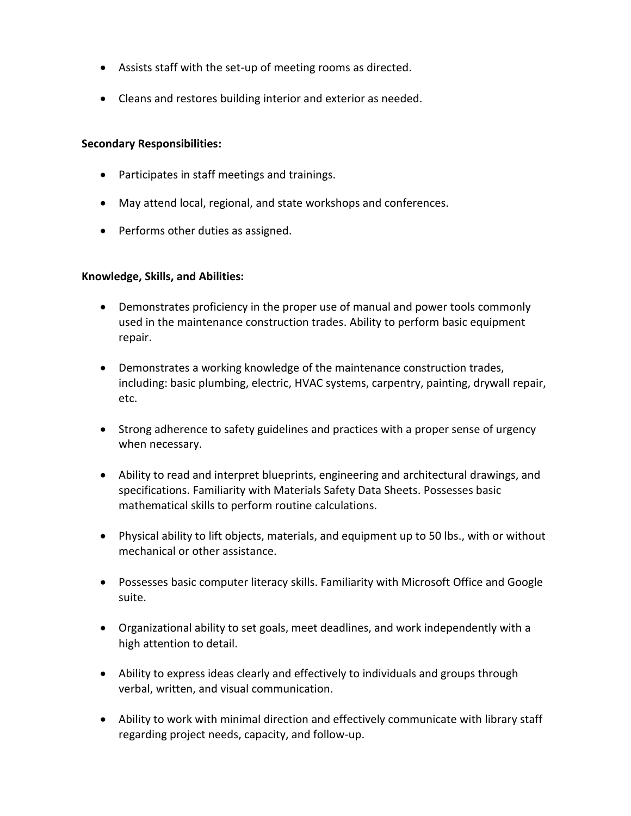- Assists staff with the set-up of meeting rooms as directed.
- Cleans and restores building interior and exterior as needed.

# **Secondary Responsibilities:**

- Participates in staff meetings and trainings.
- May attend local, regional, and state workshops and conferences.
- Performs other duties as assigned.

# **Knowledge, Skills, and Abilities:**

- Demonstrates proficiency in the proper use of manual and power tools commonly used in the maintenance construction trades. Ability to perform basic equipment repair.
- Demonstrates a working knowledge of the maintenance construction trades, including: basic plumbing, electric, HVAC systems, carpentry, painting, drywall repair, etc.
- Strong adherence to safety guidelines and practices with a proper sense of urgency when necessary.
- Ability to read and interpret blueprints, engineering and architectural drawings, and specifications. Familiarity with Materials Safety Data Sheets. Possesses basic mathematical skills to perform routine calculations.
- Physical ability to lift objects, materials, and equipment up to 50 lbs., with or without mechanical or other assistance.
- Possesses basic computer literacy skills. Familiarity with Microsoft Office and Google suite.
- Organizational ability to set goals, meet deadlines, and work independently with a high attention to detail.
- Ability to express ideas clearly and effectively to individuals and groups through verbal, written, and visual communication.
- Ability to work with minimal direction and effectively communicate with library staff regarding project needs, capacity, and follow-up.